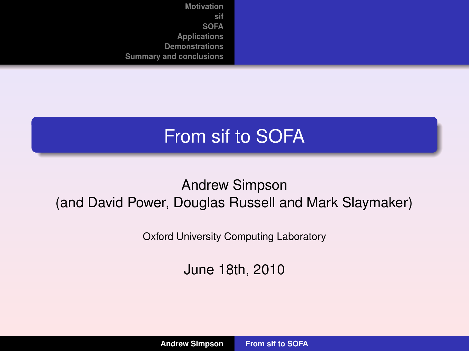### From sif to SOFA

#### Andrew Simpson (and David Power, Douglas Russell and Mark Slaymaker)

Oxford University Computing Laboratory

<span id="page-0-0"></span>June 18th, 2010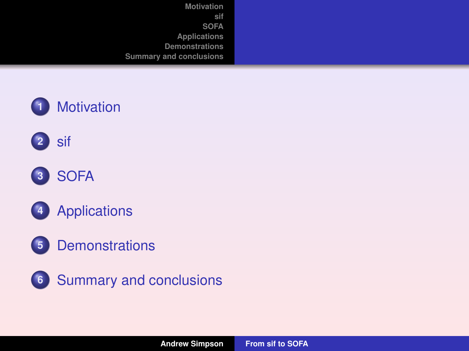









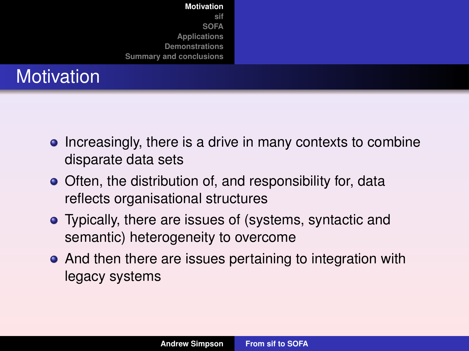|                   | <b>Motivation</b>       |
|-------------------|-------------------------|
|                   | sif                     |
|                   | <b>SOFA</b>             |
|                   | Applications            |
|                   | <b>Demonstrations</b>   |
|                   | Summary and conclusions |
| <b>Motivation</b> |                         |
|                   |                         |

- Increasingly, there is a drive in many contexts to combine disparate data sets
- Often, the distribution of, and responsibility for, data reflects organisational structures
- Typically, there are issues of (systems, syntactic and semantic) heterogeneity to overcome
- <span id="page-2-0"></span>• And then there are issues pertaining to integration with legacy systems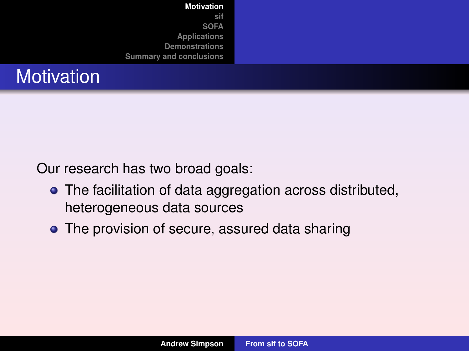| <b>Motivation</b>              |  |
|--------------------------------|--|
| sif                            |  |
| <b>SOFA</b>                    |  |
| Applications                   |  |
| <b>Demonstrations</b>          |  |
| <b>Summary and conclusions</b> |  |
|                                |  |

### **Motivation**

Our research has two broad goals:

- The facilitation of data aggregation across distributed, heterogeneous data sources
- The provision of secure, assured data sharing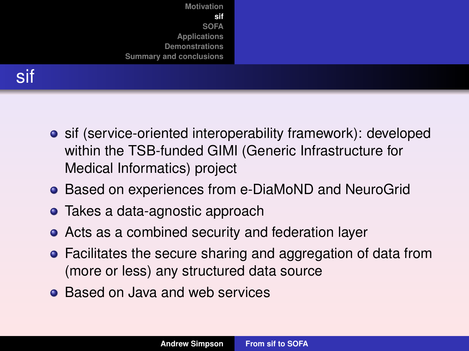



- **•** sif (service-oriented interoperability framework): developed within the TSB-funded GIMI (Generic Infrastructure for Medical Informatics) project
- Based on experiences from e-DiaMoND and NeuroGrid
- Takes a data-agnostic approach
- Acts as a combined security and federation layer
- Facilitates the secure sharing and aggregation of data from (more or less) any structured data source
- <span id="page-4-0"></span>• Based on Java and web services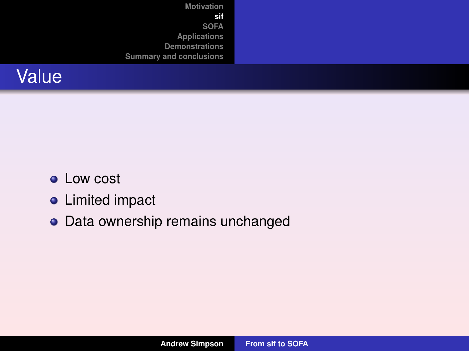

- **•** Low cost
- **•** Limited impact
- Data ownership remains unchanged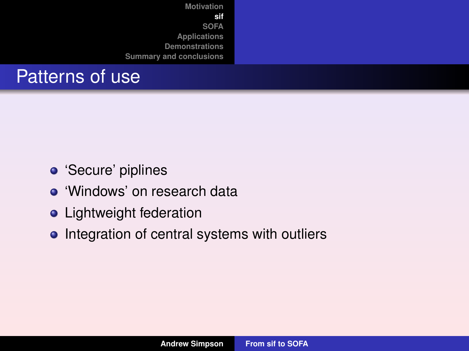| Motivation<br>sif<br><b>SOFA</b><br>Applications<br>Demonstrations<br>Summary and conclusions |  |
|-----------------------------------------------------------------------------------------------|--|
|                                                                                               |  |

### Patterns of use

- **·** 'Secure' piplines
- 'Windows' on research data
- **•** Lightweight federation
- Integration of central systems with outliers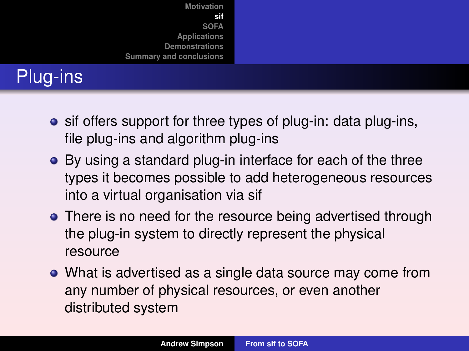

# Plug-ins

- **•** sif offers support for three types of plug-in: data plug-ins, file plug-ins and algorithm plug-ins
- By using a standard plug-in interface for each of the three types it becomes possible to add heterogeneous resources into a virtual organisation via sif
- There is no need for the resource being advertised through the plug-in system to directly represent the physical resource
- What is advertised as a single data source may come from any number of physical resources, or even another distributed system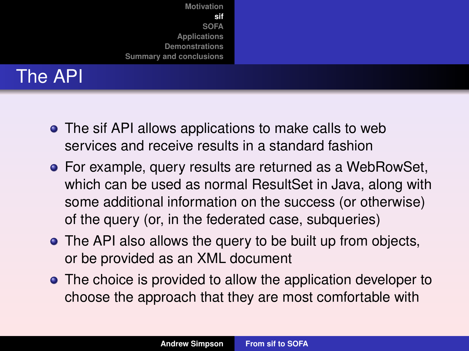

## The API

- The sif API allows applications to make calls to web services and receive results in a standard fashion
- For example, query results are returned as a WebRowSet, which can be used as normal ResultSet in Java, along with some additional information on the success (or otherwise) of the query (or, in the federated case, subqueries)
- The API also allows the query to be built up from objects, or be provided as an XML document
- The choice is provided to allow the application developer to choose the approach that they are most comfortable with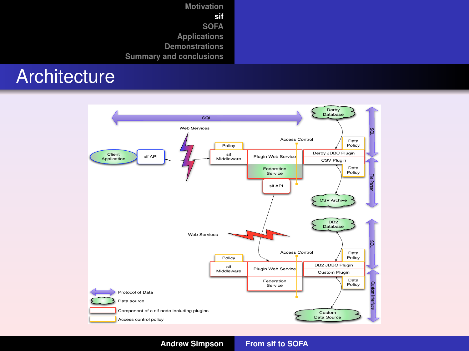**[Motivation](#page-2-0) [sif](#page-4-0) [SOFA](#page-13-0) Applications Demonstrations Summary and conclusions ONDICATIONS**<br>Demonstrations<br>Summary and conclusions **Douglas Russell, David Power, Mark Slaymaker, Ghita Kouadri Mostefaoui, Xiaoqi Ma, and Andrew Simpson**

#### **Architecture**



**Andrew Simpson [From sif to SOFA](#page-0-0)**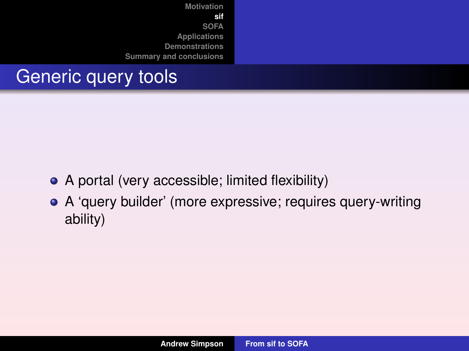

### Generic query tools

- A portal (very accessible; limited flexibility)
- A 'query builder' (more expressive; requires query-writing ability)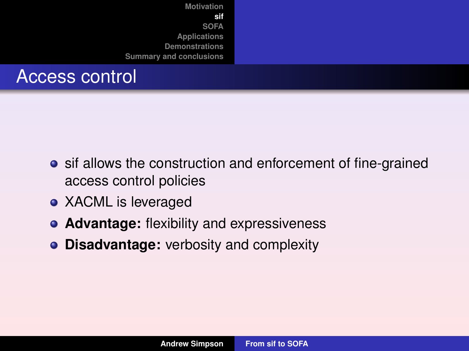

#### Access control

- sif allows the construction and enforcement of fine-grained access control policies
- XACML is leveraged
- **Advantage:** flexibility and expressiveness
- **Disadvantage:** verbosity and complexity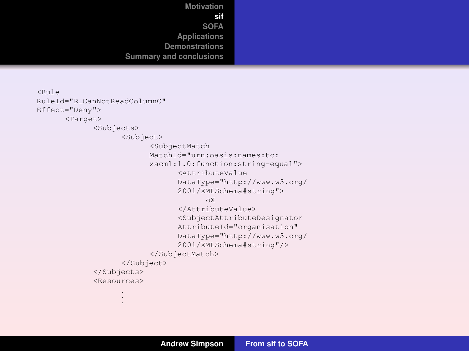```
Motivation
                      sif
                   SOFA
             Applications
          Demonstrations
Summary and conclusions
```

```
<Rule
RuleId="R CanNotReadColumnC"
Effect="Deny">
      <Target>
            <Subjects>
                  <Subject>
                         <SubjectMatch
                         MatchId="urn:oasis:names:tc:
                         xacml:1.0:function:string-equal">
                               <AttributeValue
                               DataType="http://www.w3.org/
                               2001/XMLSchema#string">
                                     oX
                               </AttributeValue>
                               <SubjectAttributeDesignator
                               AttributeId="organisation"
                               DataType="http://www.w3.org/
                               2001/XMLSchema#string"/>
                         </SubjectMatch>
                  </Subject>
            </Subjects>
            <Resources>
                   .
                   .
                   .
```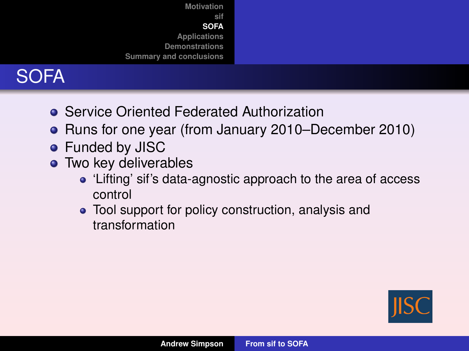



- **Service Oriented Federated Authorization**
- Runs for one year (from January 2010–December 2010)
- **•** Funded by JISC
- Two key deliverables
	- 'Lifting' sif's data-agnostic approach to the area of access control
	- Tool support for policy construction, analysis and transformation

<span id="page-13-0"></span>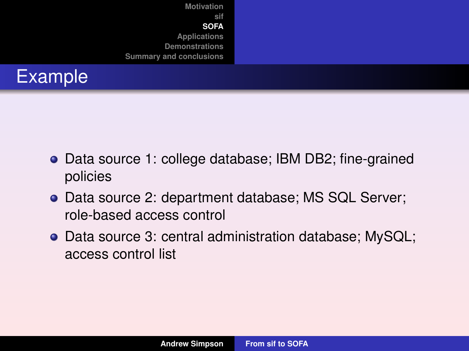



- Data source 1: college database; IBM DB2; fine-grained policies
- Data source 2: department database; MS SQL Server; role-based access control
- Data source 3: central administration database; MySQL; access control list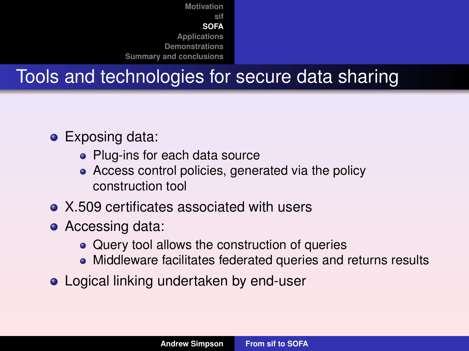## Tools and technologies for secure data sharing

- **•** Exposing data:
	- Plug-ins for each data source
	- Access control policies, generated via the policy construction tool
- X.509 certificates associated with users
- Accessing data:
	- Query tool allows the construction of queries
	- Middleware facilitates federated queries and returns results
- **Logical linking undertaken by end-user**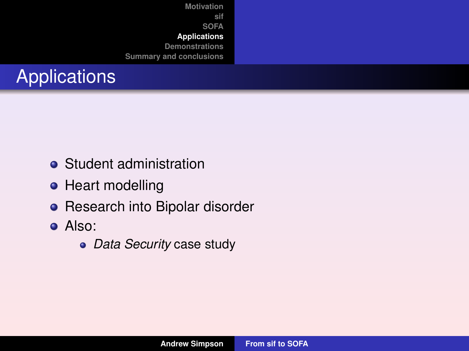# **Applications**

- **•** Student administration
- Heart modelling
- Research into Bipolar disorder
- <span id="page-16-0"></span>Also:
	- *Data Security* case study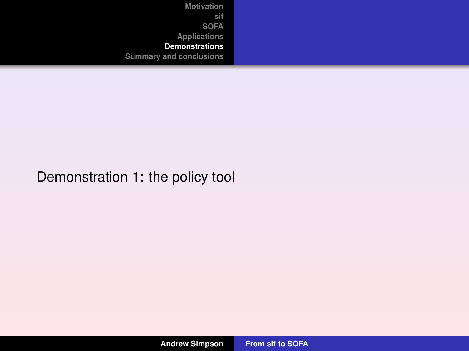#### <span id="page-17-0"></span>Demonstration 1: the policy tool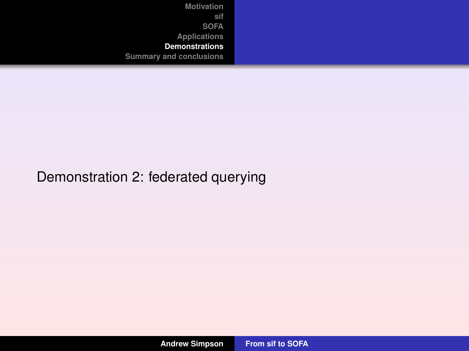#### Demonstration 2: federated querying